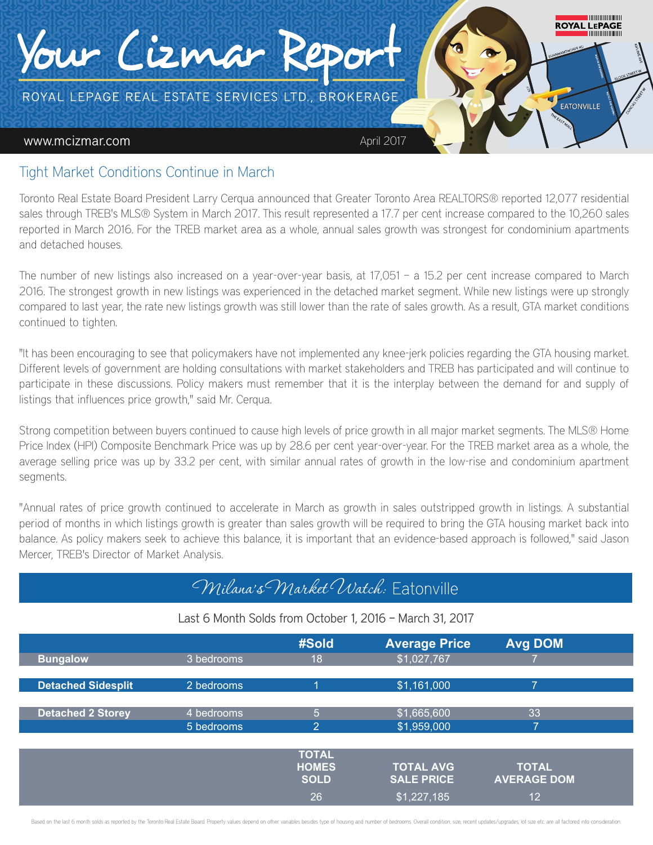

### Tight Market Conditions Continue in March

Toronto Real Estate Board President Larry Cerqua announced that Greater Toronto Area REALTORS® reported 12,077 residential sales through TREB's MLS® System in March 2017. This result represented a 17.7 per cent increase compared to the 10,260 sales reported in March 2016. For the TREB market area as a whole, annual sales growth was strongest for condominium apartments and detached houses.

The number of new listings also increased on a year-over-year basis, at 17,051 – a 15.2 per cent increase compared to March 2016. The strongest growth in new listings was experienced in the detached market segment. While new listings were up strongly compared to last year, the rate new listings growth was still lower than the rate of sales growth. As a result, GTA market conditions continued to tighten.

"It has been encouraging to see that policymakers have not implemented any knee-jerk policies regarding the GTA housing market. Different levels of government are holding consultations with market stakeholders and TREB has participated and will continue to participate in these discussions. Policy makers must remember that it is the interplay between the demand for and supply of listings that influences price growth," said Mr. Cerqua.

Strong competition between buyers continued to cause high levels of price growth in all major market segments. The MLS® Home Price Index (HPI) Composite Benchmark Price was up by 28.6 per cent year-over-year. For the TREB market area as a whole, the average selling price was up by 33.2 per cent, with similar annual rates of growth in the low-rise and condominium apartment seaments.

"Annual rates of price growth continued to accelerate in March as growth in sales outstripped growth in listings. A substantial period of months in which listings growth is greater than sales growth will be required to bring the GTA housing market back into balance. As policy makers seek to achieve this balance, it is important that an evidence-based approach is followed," said Jason Mercer, TREB's Director of Market Analysis.

## Milana's Market Watch: Eatonville

### Last 6 Month Solds from October 1, 2016 – March 31, 2017

|                           |            | #Sold          | <b>Average Price</b> | <b>Avg DOM</b>     |
|---------------------------|------------|----------------|----------------------|--------------------|
| <b>Bungalow</b>           | 3 bedrooms | 18             | \$1,027,767          |                    |
|                           |            |                |                      |                    |
| <b>Detached Sidesplit</b> | 2 bedrooms | 4              | \$1,161,000          | 7                  |
|                           |            |                |                      |                    |
| <b>Detached 2 Storey</b>  | 4 bedrooms | 5              | \$1,665,600          | 33                 |
|                           | 5 bedrooms | $\overline{2}$ | \$1,959,000          | ⇁                  |
|                           |            |                |                      |                    |
|                           |            | <b>TOTAL</b>   |                      |                    |
|                           |            | <b>HOMES</b>   | <b>TOTAL AVG</b>     | <b>TOTAL</b>       |
|                           |            | <b>SOLD</b>    | <b>SALE PRICE</b>    | <b>AVERAGE DOM</b> |
|                           |            | 26             | \$1,227,185          | 12                 |

Based on the last 6 month solds as reported by the Toronto Real Estate Board. Property values depend on other variables besides type of housing and number of bedrooms. Overall condition, size, recent updates/upgrades, lot